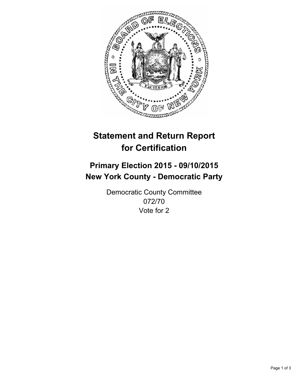

# **Statement and Return Report for Certification**

## **Primary Election 2015 - 09/10/2015 New York County - Democratic Party**

Democratic County Committee 072/70 Vote for 2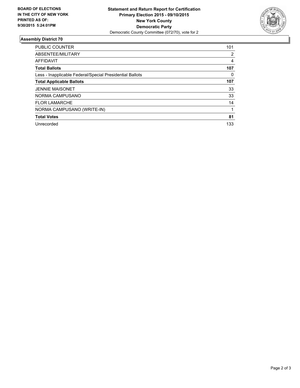

#### **Assembly District 70**

| <b>PUBLIC COUNTER</b>                                    | 101 |
|----------------------------------------------------------|-----|
| ABSENTEE/MILITARY                                        | 2   |
| AFFIDAVIT                                                | 4   |
| <b>Total Ballots</b>                                     | 107 |
| Less - Inapplicable Federal/Special Presidential Ballots | 0   |
| <b>Total Applicable Ballots</b>                          | 107 |
| <b>JENNIE MAISONET</b>                                   | 33  |
| NORMA CAMPUSANO                                          | 33  |
| <b>FLOR LAMARCHE</b>                                     | 14  |
| NORMA CAMPUSANO (WRITE-IN)                               |     |
| <b>Total Votes</b>                                       | 81  |
| Unrecorded                                               | 133 |